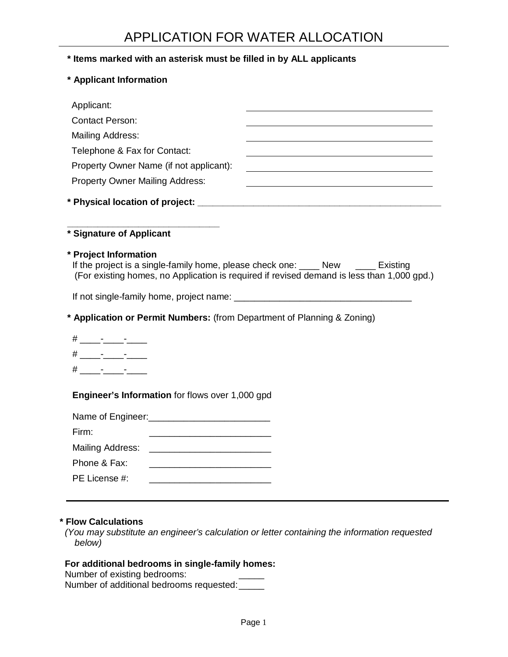### **\* Items marked with an asterisk must be filled in by ALL applicants**

**\* Applicant Information** 

| Applicant:                                                                                                |                                                                                            |
|-----------------------------------------------------------------------------------------------------------|--------------------------------------------------------------------------------------------|
| <b>Contact Person:</b>                                                                                    |                                                                                            |
| <b>Mailing Address:</b>                                                                                   |                                                                                            |
| Telephone & Fax for Contact:                                                                              |                                                                                            |
| Property Owner Name (if not applicant):                                                                   |                                                                                            |
| <b>Property Owner Mailing Address:</b>                                                                    |                                                                                            |
|                                                                                                           |                                                                                            |
| * Signature of Applicant                                                                                  |                                                                                            |
| * Project Information<br>If the project is a single-family home, please check one: ____ New ____ Existing | (For existing homes, no Application is required if revised demand is less than 1,000 gpd.) |
| * Application or Permit Numbers: (from Department of Planning & Zoning)                                   |                                                                                            |
| # _____-______-______                                                                                     |                                                                                            |
|                                                                                                           |                                                                                            |
|                                                                                                           |                                                                                            |
|                                                                                                           |                                                                                            |
| Engineer's Information for flows over 1,000 gpd                                                           |                                                                                            |
|                                                                                                           |                                                                                            |
| Firm:                                                                                                     |                                                                                            |
| Mailing Address:                                                                                          |                                                                                            |
| Phone & Fax:                                                                                              |                                                                                            |
| PE License #:                                                                                             |                                                                                            |

#### **\* Flow Calculations**

 (You may substitute an engineer's calculation or letter containing the information requested below)

### **For additional bedrooms in single-family homes:**

Number of existing bedrooms:

Number of additional bedrooms requested: